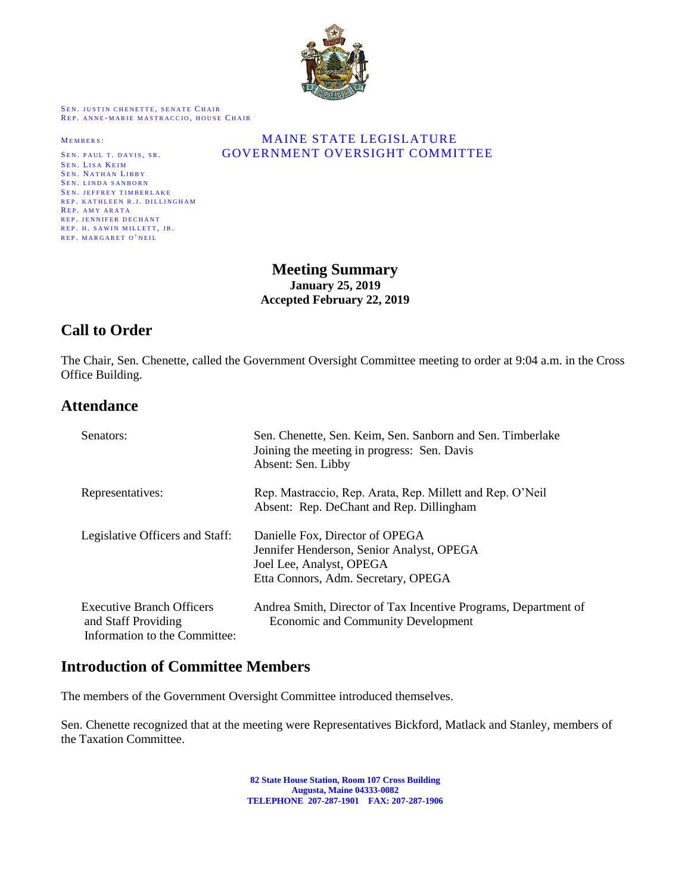

SEN. JUSTIN CHENETTE, SENATE CHAIR REP. ANNE-MARIE MASTRACCIO, HOUSE CHAIR

SEN. LISA KEIM SEN. NATHAN LIBBY SEN. LINDA SANBORN SEN. JEFFREY TIMBERLAKE REP. KATHLEEN R.J. DILLINGHAM REP. AMY ARATA REP. JENNIFER DECHANT REP. H. SAWIN MILLETT, JR. REP. MARGARET O'NEIL

#### MEMBERS: MAINE STATE LEGISLATURE SEN. PAUL T. DAVIS, SR. **GOVERNMENT OVERSIGHT COMMITTEE**

**Meeting Summary January 25, 2019 Accepted February 22, 2019**

# **Call to Order**

The Chair, Sen. Chenette, called the Government Oversight Committee meeting to order at 9:04 a.m. in the Cross Office Building.

## **Attendance**

| Senators:                                                                                | Sen. Chenette, Sen. Keim, Sen. Sanborn and Sen. Timberlake<br>Joining the meeting in progress: Sen. Davis<br>Absent: Sen. Libby                 |
|------------------------------------------------------------------------------------------|-------------------------------------------------------------------------------------------------------------------------------------------------|
| Representatives:                                                                         | Rep. Mastraccio, Rep. Arata, Rep. Millett and Rep. O'Neil<br>Absent: Rep. DeChant and Rep. Dillingham                                           |
| Legislative Officers and Staff:                                                          | Danielle Fox, Director of OPEGA<br>Jennifer Henderson, Senior Analyst, OPEGA<br>Joel Lee, Analyst, OPEGA<br>Etta Connors, Adm. Secretary, OPEGA |
| <b>Executive Branch Officers</b><br>and Staff Providing<br>Information to the Committee: | Andrea Smith, Director of Tax Incentive Programs, Department of<br><b>Economic and Community Development</b>                                    |

## **Introduction of Committee Members**

The members of the Government Oversight Committee introduced themselves.

Sen. Chenette recognized that at the meeting were Representatives Bickford, Matlack and Stanley, members of the Taxation Committee.

> **82 State House Station, Room 107 Cross Building Augusta, Maine 04333-0082 TELEPHONE 207-287-1901 FAX: 207-287-1906**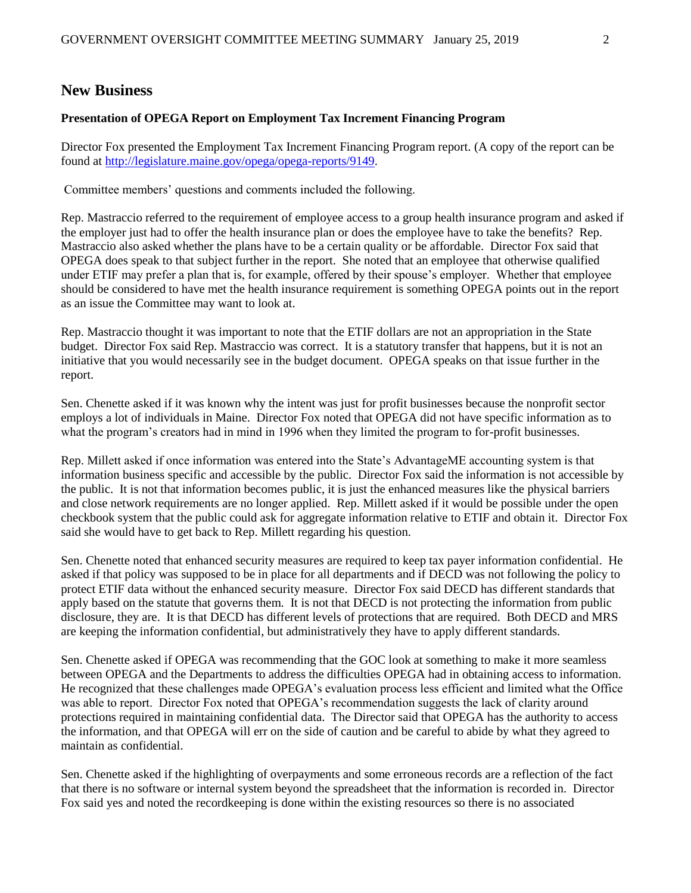#### **New Business**

#### **Presentation of OPEGA Report on Employment Tax Increment Financing Program**

Director Fox presented the Employment Tax Increment Financing Program report. (A copy of the report can be found at [http://legislature.maine.gov/opega/opega-reports/9149.](http://legislature.maine.gov/opega/opega-reports/9149)

Committee members' questions and comments included the following.

Rep. Mastraccio referred to the requirement of employee access to a group health insurance program and asked if the employer just had to offer the health insurance plan or does the employee have to take the benefits? Rep. Mastraccio also asked whether the plans have to be a certain quality or be affordable. Director Fox said that OPEGA does speak to that subject further in the report. She noted that an employee that otherwise qualified under ETIF may prefer a plan that is, for example, offered by their spouse's employer. Whether that employee should be considered to have met the health insurance requirement is something OPEGA points out in the report as an issue the Committee may want to look at.

Rep. Mastraccio thought it was important to note that the ETIF dollars are not an appropriation in the State budget. Director Fox said Rep. Mastraccio was correct. It is a statutory transfer that happens, but it is not an initiative that you would necessarily see in the budget document. OPEGA speaks on that issue further in the report.

Sen. Chenette asked if it was known why the intent was just for profit businesses because the nonprofit sector employs a lot of individuals in Maine. Director Fox noted that OPEGA did not have specific information as to what the program's creators had in mind in 1996 when they limited the program to for-profit businesses.

Rep. Millett asked if once information was entered into the State's AdvantageME accounting system is that information business specific and accessible by the public. Director Fox said the information is not accessible by the public. It is not that information becomes public, it is just the enhanced measures like the physical barriers and close network requirements are no longer applied. Rep. Millett asked if it would be possible under the open checkbook system that the public could ask for aggregate information relative to ETIF and obtain it. Director Fox said she would have to get back to Rep. Millett regarding his question.

Sen. Chenette noted that enhanced security measures are required to keep tax payer information confidential. He asked if that policy was supposed to be in place for all departments and if DECD was not following the policy to protect ETIF data without the enhanced security measure. Director Fox said DECD has different standards that apply based on the statute that governs them. It is not that DECD is not protecting the information from public disclosure, they are. It is that DECD has different levels of protections that are required. Both DECD and MRS are keeping the information confidential, but administratively they have to apply different standards.

Sen. Chenette asked if OPEGA was recommending that the GOC look at something to make it more seamless between OPEGA and the Departments to address the difficulties OPEGA had in obtaining access to information. He recognized that these challenges made OPEGA's evaluation process less efficient and limited what the Office was able to report. Director Fox noted that OPEGA's recommendation suggests the lack of clarity around protections required in maintaining confidential data. The Director said that OPEGA has the authority to access the information, and that OPEGA will err on the side of caution and be careful to abide by what they agreed to maintain as confidential.

Sen. Chenette asked if the highlighting of overpayments and some erroneous records are a reflection of the fact that there is no software or internal system beyond the spreadsheet that the information is recorded in. Director Fox said yes and noted the recordkeeping is done within the existing resources so there is no associated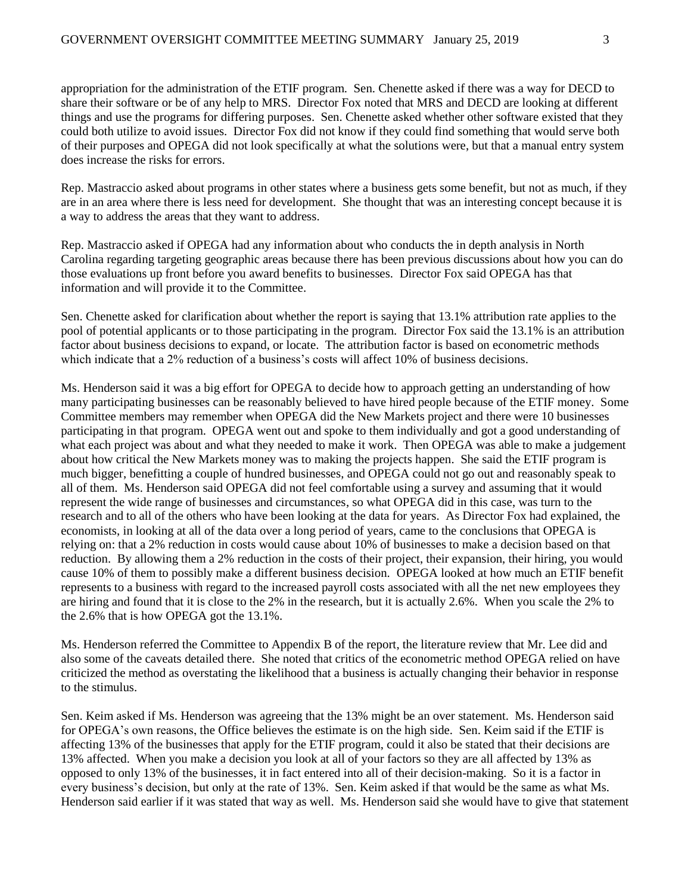appropriation for the administration of the ETIF program. Sen. Chenette asked if there was a way for DECD to share their software or be of any help to MRS. Director Fox noted that MRS and DECD are looking at different things and use the programs for differing purposes. Sen. Chenette asked whether other software existed that they could both utilize to avoid issues. Director Fox did not know if they could find something that would serve both of their purposes and OPEGA did not look specifically at what the solutions were, but that a manual entry system does increase the risks for errors.

Rep. Mastraccio asked about programs in other states where a business gets some benefit, but not as much, if they are in an area where there is less need for development. She thought that was an interesting concept because it is a way to address the areas that they want to address.

Rep. Mastraccio asked if OPEGA had any information about who conducts the in depth analysis in North Carolina regarding targeting geographic areas because there has been previous discussions about how you can do those evaluations up front before you award benefits to businesses. Director Fox said OPEGA has that information and will provide it to the Committee.

Sen. Chenette asked for clarification about whether the report is saying that 13.1% attribution rate applies to the pool of potential applicants or to those participating in the program. Director Fox said the 13.1% is an attribution factor about business decisions to expand, or locate. The attribution factor is based on econometric methods which indicate that a 2% reduction of a business's costs will affect 10% of business decisions.

Ms. Henderson said it was a big effort for OPEGA to decide how to approach getting an understanding of how many participating businesses can be reasonably believed to have hired people because of the ETIF money. Some Committee members may remember when OPEGA did the New Markets project and there were 10 businesses participating in that program. OPEGA went out and spoke to them individually and got a good understanding of what each project was about and what they needed to make it work. Then OPEGA was able to make a judgement about how critical the New Markets money was to making the projects happen. She said the ETIF program is much bigger, benefitting a couple of hundred businesses, and OPEGA could not go out and reasonably speak to all of them. Ms. Henderson said OPEGA did not feel comfortable using a survey and assuming that it would represent the wide range of businesses and circumstances, so what OPEGA did in this case, was turn to the research and to all of the others who have been looking at the data for years. As Director Fox had explained, the economists, in looking at all of the data over a long period of years, came to the conclusions that OPEGA is relying on: that a 2% reduction in costs would cause about 10% of businesses to make a decision based on that reduction. By allowing them a 2% reduction in the costs of their project, their expansion, their hiring, you would cause 10% of them to possibly make a different business decision. OPEGA looked at how much an ETIF benefit represents to a business with regard to the increased payroll costs associated with all the net new employees they are hiring and found that it is close to the 2% in the research, but it is actually 2.6%. When you scale the 2% to the 2.6% that is how OPEGA got the 13.1%.

Ms. Henderson referred the Committee to Appendix B of the report, the literature review that Mr. Lee did and also some of the caveats detailed there. She noted that critics of the econometric method OPEGA relied on have criticized the method as overstating the likelihood that a business is actually changing their behavior in response to the stimulus.

Sen. Keim asked if Ms. Henderson was agreeing that the 13% might be an over statement. Ms. Henderson said for OPEGA's own reasons, the Office believes the estimate is on the high side. Sen. Keim said if the ETIF is affecting 13% of the businesses that apply for the ETIF program, could it also be stated that their decisions are 13% affected. When you make a decision you look at all of your factors so they are all affected by 13% as opposed to only 13% of the businesses, it in fact entered into all of their decision-making. So it is a factor in every business's decision, but only at the rate of 13%. Sen. Keim asked if that would be the same as what Ms. Henderson said earlier if it was stated that way as well. Ms. Henderson said she would have to give that statement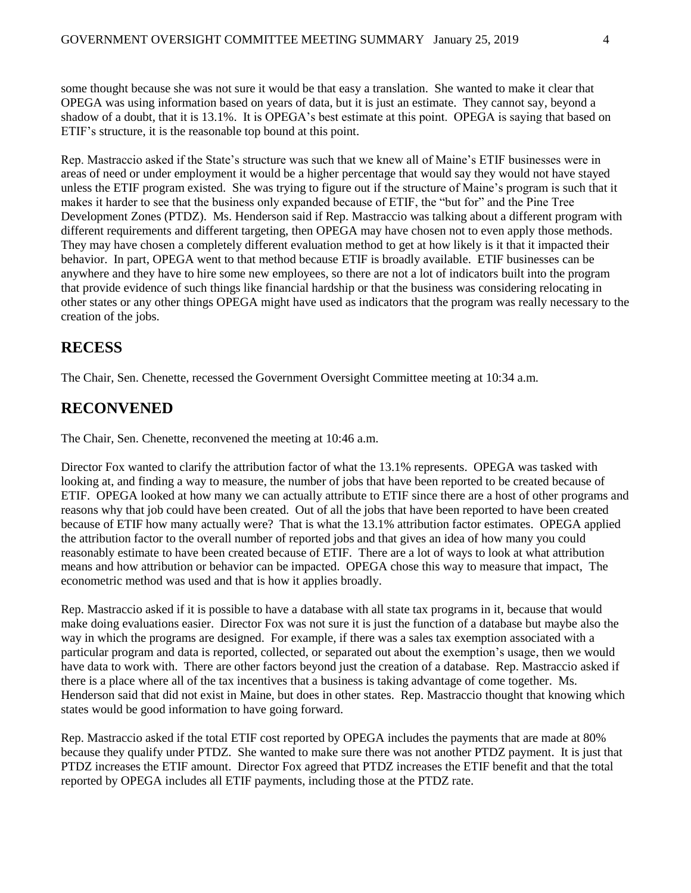some thought because she was not sure it would be that easy a translation. She wanted to make it clear that OPEGA was using information based on years of data, but it is just an estimate. They cannot say, beyond a shadow of a doubt, that it is 13.1%. It is OPEGA's best estimate at this point. OPEGA is saying that based on ETIF's structure, it is the reasonable top bound at this point.

Rep. Mastraccio asked if the State's structure was such that we knew all of Maine's ETIF businesses were in areas of need or under employment it would be a higher percentage that would say they would not have stayed unless the ETIF program existed. She was trying to figure out if the structure of Maine's program is such that it makes it harder to see that the business only expanded because of ETIF, the "but for" and the Pine Tree Development Zones (PTDZ). Ms. Henderson said if Rep. Mastraccio was talking about a different program with different requirements and different targeting, then OPEGA may have chosen not to even apply those methods. They may have chosen a completely different evaluation method to get at how likely is it that it impacted their behavior. In part, OPEGA went to that method because ETIF is broadly available. ETIF businesses can be anywhere and they have to hire some new employees, so there are not a lot of indicators built into the program that provide evidence of such things like financial hardship or that the business was considering relocating in other states or any other things OPEGA might have used as indicators that the program was really necessary to the creation of the jobs.

### **RECESS**

The Chair, Sen. Chenette, recessed the Government Oversight Committee meeting at 10:34 a.m.

## **RECONVENED**

The Chair, Sen. Chenette, reconvened the meeting at 10:46 a.m.

Director Fox wanted to clarify the attribution factor of what the 13.1% represents. OPEGA was tasked with looking at, and finding a way to measure, the number of jobs that have been reported to be created because of ETIF. OPEGA looked at how many we can actually attribute to ETIF since there are a host of other programs and reasons why that job could have been created. Out of all the jobs that have been reported to have been created because of ETIF how many actually were? That is what the 13.1% attribution factor estimates. OPEGA applied the attribution factor to the overall number of reported jobs and that gives an idea of how many you could reasonably estimate to have been created because of ETIF. There are a lot of ways to look at what attribution means and how attribution or behavior can be impacted. OPEGA chose this way to measure that impact, The econometric method was used and that is how it applies broadly.

Rep. Mastraccio asked if it is possible to have a database with all state tax programs in it, because that would make doing evaluations easier. Director Fox was not sure it is just the function of a database but maybe also the way in which the programs are designed. For example, if there was a sales tax exemption associated with a particular program and data is reported, collected, or separated out about the exemption's usage, then we would have data to work with. There are other factors beyond just the creation of a database. Rep. Mastraccio asked if there is a place where all of the tax incentives that a business is taking advantage of come together. Ms. Henderson said that did not exist in Maine, but does in other states. Rep. Mastraccio thought that knowing which states would be good information to have going forward.

Rep. Mastraccio asked if the total ETIF cost reported by OPEGA includes the payments that are made at 80% because they qualify under PTDZ. She wanted to make sure there was not another PTDZ payment. It is just that PTDZ increases the ETIF amount. Director Fox agreed that PTDZ increases the ETIF benefit and that the total reported by OPEGA includes all ETIF payments, including those at the PTDZ rate.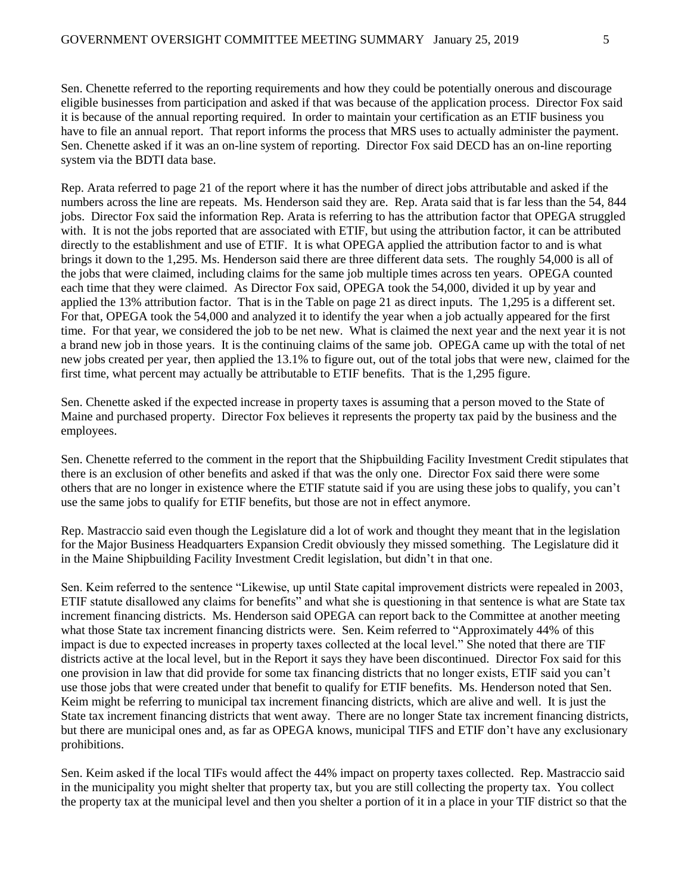Sen. Chenette referred to the reporting requirements and how they could be potentially onerous and discourage eligible businesses from participation and asked if that was because of the application process. Director Fox said it is because of the annual reporting required. In order to maintain your certification as an ETIF business you have to file an annual report. That report informs the process that MRS uses to actually administer the payment. Sen. Chenette asked if it was an on-line system of reporting. Director Fox said DECD has an on-line reporting system via the BDTI data base.

Rep. Arata referred to page 21 of the report where it has the number of direct jobs attributable and asked if the numbers across the line are repeats. Ms. Henderson said they are. Rep. Arata said that is far less than the 54, 844 jobs. Director Fox said the information Rep. Arata is referring to has the attribution factor that OPEGA struggled with. It is not the jobs reported that are associated with ETIF, but using the attribution factor, it can be attributed directly to the establishment and use of ETIF. It is what OPEGA applied the attribution factor to and is what brings it down to the 1,295. Ms. Henderson said there are three different data sets. The roughly 54,000 is all of the jobs that were claimed, including claims for the same job multiple times across ten years. OPEGA counted each time that they were claimed. As Director Fox said, OPEGA took the 54,000, divided it up by year and applied the 13% attribution factor. That is in the Table on page 21 as direct inputs. The 1,295 is a different set. For that, OPEGA took the 54,000 and analyzed it to identify the year when a job actually appeared for the first time. For that year, we considered the job to be net new. What is claimed the next year and the next year it is not a brand new job in those years. It is the continuing claims of the same job. OPEGA came up with the total of net new jobs created per year, then applied the 13.1% to figure out, out of the total jobs that were new, claimed for the first time, what percent may actually be attributable to ETIF benefits. That is the 1,295 figure.

Sen. Chenette asked if the expected increase in property taxes is assuming that a person moved to the State of Maine and purchased property. Director Fox believes it represents the property tax paid by the business and the employees.

Sen. Chenette referred to the comment in the report that the Shipbuilding Facility Investment Credit stipulates that there is an exclusion of other benefits and asked if that was the only one. Director Fox said there were some others that are no longer in existence where the ETIF statute said if you are using these jobs to qualify, you can't use the same jobs to qualify for ETIF benefits, but those are not in effect anymore.

Rep. Mastraccio said even though the Legislature did a lot of work and thought they meant that in the legislation for the Major Business Headquarters Expansion Credit obviously they missed something. The Legislature did it in the Maine Shipbuilding Facility Investment Credit legislation, but didn't in that one.

Sen. Keim referred to the sentence "Likewise, up until State capital improvement districts were repealed in 2003, ETIF statute disallowed any claims for benefits" and what she is questioning in that sentence is what are State tax increment financing districts. Ms. Henderson said OPEGA can report back to the Committee at another meeting what those State tax increment financing districts were. Sen. Keim referred to "Approximately 44% of this impact is due to expected increases in property taxes collected at the local level." She noted that there are TIF districts active at the local level, but in the Report it says they have been discontinued. Director Fox said for this one provision in law that did provide for some tax financing districts that no longer exists, ETIF said you can't use those jobs that were created under that benefit to qualify for ETIF benefits. Ms. Henderson noted that Sen. Keim might be referring to municipal tax increment financing districts, which are alive and well. It is just the State tax increment financing districts that went away. There are no longer State tax increment financing districts, but there are municipal ones and, as far as OPEGA knows, municipal TIFS and ETIF don't have any exclusionary prohibitions.

Sen. Keim asked if the local TIFs would affect the 44% impact on property taxes collected. Rep. Mastraccio said in the municipality you might shelter that property tax, but you are still collecting the property tax. You collect the property tax at the municipal level and then you shelter a portion of it in a place in your TIF district so that the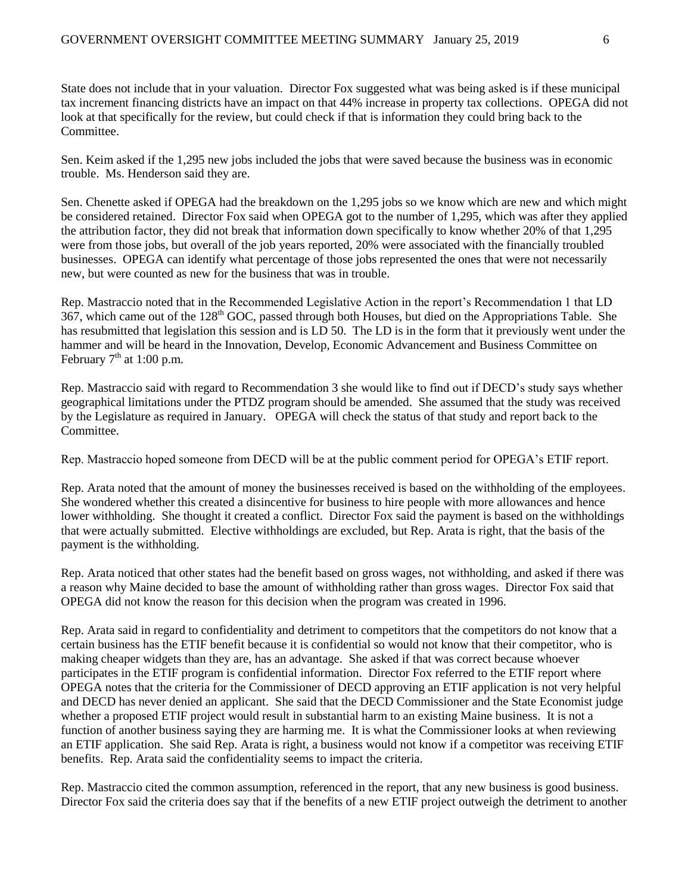State does not include that in your valuation. Director Fox suggested what was being asked is if these municipal tax increment financing districts have an impact on that 44% increase in property tax collections. OPEGA did not look at that specifically for the review, but could check if that is information they could bring back to the Committee.

Sen. Keim asked if the 1,295 new jobs included the jobs that were saved because the business was in economic trouble. Ms. Henderson said they are.

Sen. Chenette asked if OPEGA had the breakdown on the 1,295 jobs so we know which are new and which might be considered retained. Director Fox said when OPEGA got to the number of 1,295, which was after they applied the attribution factor, they did not break that information down specifically to know whether 20% of that 1,295 were from those jobs, but overall of the job years reported, 20% were associated with the financially troubled businesses. OPEGA can identify what percentage of those jobs represented the ones that were not necessarily new, but were counted as new for the business that was in trouble.

Rep. Mastraccio noted that in the Recommended Legislative Action in the report's Recommendation 1 that LD 367, which came out of the 128<sup>th</sup> GOC, passed through both Houses, but died on the Appropriations Table. She has resubmitted that legislation this session and is LD 50. The LD is in the form that it previously went under the hammer and will be heard in the Innovation, Develop, Economic Advancement and Business Committee on February  $7<sup>th</sup>$  at 1:00 p.m.

Rep. Mastraccio said with regard to Recommendation 3 she would like to find out if DECD's study says whether geographical limitations under the PTDZ program should be amended. She assumed that the study was received by the Legislature as required in January. OPEGA will check the status of that study and report back to the Committee.

Rep. Mastraccio hoped someone from DECD will be at the public comment period for OPEGA's ETIF report.

Rep. Arata noted that the amount of money the businesses received is based on the withholding of the employees. She wondered whether this created a disincentive for business to hire people with more allowances and hence lower withholding. She thought it created a conflict. Director Fox said the payment is based on the withholdings that were actually submitted. Elective withholdings are excluded, but Rep. Arata is right, that the basis of the payment is the withholding.

Rep. Arata noticed that other states had the benefit based on gross wages, not withholding, and asked if there was a reason why Maine decided to base the amount of withholding rather than gross wages. Director Fox said that OPEGA did not know the reason for this decision when the program was created in 1996.

Rep. Arata said in regard to confidentiality and detriment to competitors that the competitors do not know that a certain business has the ETIF benefit because it is confidential so would not know that their competitor, who is making cheaper widgets than they are, has an advantage. She asked if that was correct because whoever participates in the ETIF program is confidential information. Director Fox referred to the ETIF report where OPEGA notes that the criteria for the Commissioner of DECD approving an ETIF application is not very helpful and DECD has never denied an applicant. She said that the DECD Commissioner and the State Economist judge whether a proposed ETIF project would result in substantial harm to an existing Maine business. It is not a function of another business saying they are harming me. It is what the Commissioner looks at when reviewing an ETIF application. She said Rep. Arata is right, a business would not know if a competitor was receiving ETIF benefits. Rep. Arata said the confidentiality seems to impact the criteria.

Rep. Mastraccio cited the common assumption, referenced in the report, that any new business is good business. Director Fox said the criteria does say that if the benefits of a new ETIF project outweigh the detriment to another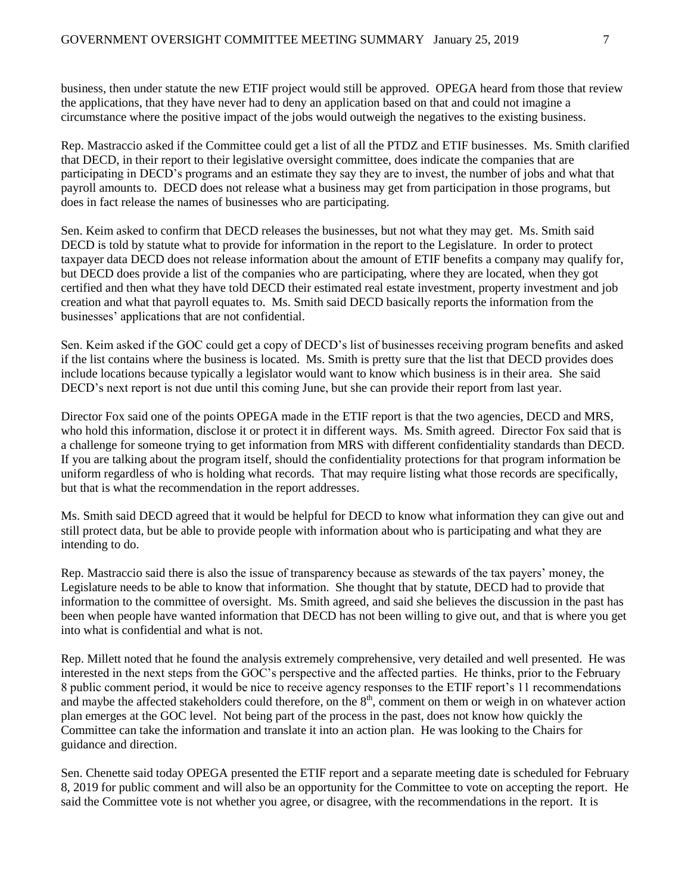business, then under statute the new ETIF project would still be approved. OPEGA heard from those that review the applications, that they have never had to deny an application based on that and could not imagine a circumstance where the positive impact of the jobs would outweigh the negatives to the existing business.

Rep. Mastraccio asked if the Committee could get a list of all the PTDZ and ETIF businesses. Ms. Smith clarified that DECD, in their report to their legislative oversight committee, does indicate the companies that are participating in DECD's programs and an estimate they say they are to invest, the number of jobs and what that payroll amounts to. DECD does not release what a business may get from participation in those programs, but does in fact release the names of businesses who are participating.

Sen. Keim asked to confirm that DECD releases the businesses, but not what they may get. Ms. Smith said DECD is told by statute what to provide for information in the report to the Legislature. In order to protect taxpayer data DECD does not release information about the amount of ETIF benefits a company may qualify for, but DECD does provide a list of the companies who are participating, where they are located, when they got certified and then what they have told DECD their estimated real estate investment, property investment and job creation and what that payroll equates to. Ms. Smith said DECD basically reports the information from the businesses' applications that are not confidential.

Sen. Keim asked if the GOC could get a copy of DECD's list of businesses receiving program benefits and asked if the list contains where the business is located. Ms. Smith is pretty sure that the list that DECD provides does include locations because typically a legislator would want to know which business is in their area. She said DECD's next report is not due until this coming June, but she can provide their report from last year.

Director Fox said one of the points OPEGA made in the ETIF report is that the two agencies, DECD and MRS, who hold this information, disclose it or protect it in different ways. Ms. Smith agreed. Director Fox said that is a challenge for someone trying to get information from MRS with different confidentiality standards than DECD. If you are talking about the program itself, should the confidentiality protections for that program information be uniform regardless of who is holding what records. That may require listing what those records are specifically, but that is what the recommendation in the report addresses.

Ms. Smith said DECD agreed that it would be helpful for DECD to know what information they can give out and still protect data, but be able to provide people with information about who is participating and what they are intending to do.

Rep. Mastraccio said there is also the issue of transparency because as stewards of the tax payers' money, the Legislature needs to be able to know that information. She thought that by statute, DECD had to provide that information to the committee of oversight. Ms. Smith agreed, and said she believes the discussion in the past has been when people have wanted information that DECD has not been willing to give out, and that is where you get into what is confidential and what is not.

Rep. Millett noted that he found the analysis extremely comprehensive, very detailed and well presented. He was interested in the next steps from the GOC's perspective and the affected parties. He thinks, prior to the February 8 public comment period, it would be nice to receive agency responses to the ETIF report's 11 recommendations and maybe the affected stakeholders could therefore, on the  $8<sup>th</sup>$ , comment on them or weigh in on whatever action plan emerges at the GOC level. Not being part of the process in the past, does not know how quickly the Committee can take the information and translate it into an action plan. He was looking to the Chairs for guidance and direction.

Sen. Chenette said today OPEGA presented the ETIF report and a separate meeting date is scheduled for February 8, 2019 for public comment and will also be an opportunity for the Committee to vote on accepting the report. He said the Committee vote is not whether you agree, or disagree, with the recommendations in the report. It is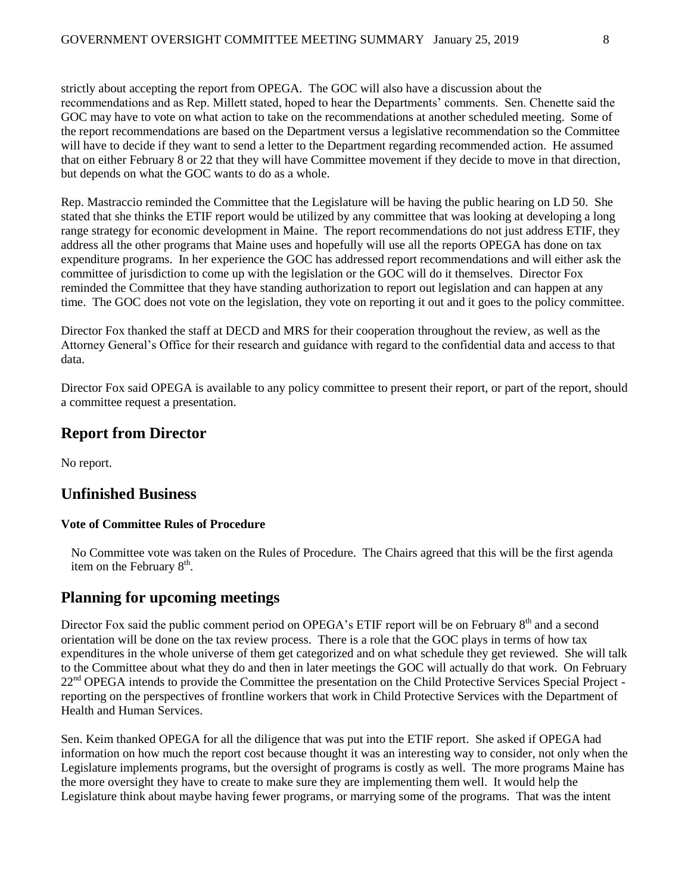strictly about accepting the report from OPEGA. The GOC will also have a discussion about the recommendations and as Rep. Millett stated, hoped to hear the Departments' comments. Sen. Chenette said the GOC may have to vote on what action to take on the recommendations at another scheduled meeting. Some of the report recommendations are based on the Department versus a legislative recommendation so the Committee will have to decide if they want to send a letter to the Department regarding recommended action. He assumed that on either February 8 or 22 that they will have Committee movement if they decide to move in that direction, but depends on what the GOC wants to do as a whole.

Rep. Mastraccio reminded the Committee that the Legislature will be having the public hearing on LD 50. She stated that she thinks the ETIF report would be utilized by any committee that was looking at developing a long range strategy for economic development in Maine. The report recommendations do not just address ETIF, they address all the other programs that Maine uses and hopefully will use all the reports OPEGA has done on tax expenditure programs. In her experience the GOC has addressed report recommendations and will either ask the committee of jurisdiction to come up with the legislation or the GOC will do it themselves. Director Fox reminded the Committee that they have standing authorization to report out legislation and can happen at any time. The GOC does not vote on the legislation, they vote on reporting it out and it goes to the policy committee.

Director Fox thanked the staff at DECD and MRS for their cooperation throughout the review, as well as the Attorney General's Office for their research and guidance with regard to the confidential data and access to that data.

Director Fox said OPEGA is available to any policy committee to present their report, or part of the report, should a committee request a presentation.

### **Report from Director**

No report.

#### **Unfinished Business**

#### **Vote of Committee Rules of Procedure**

No Committee vote was taken on the Rules of Procedure. The Chairs agreed that this will be the first agenda item on the February  $8<sup>th</sup>$ .

### **Planning for upcoming meetings**

Director Fox said the public comment period on OPEGA's ETIF report will be on February 8<sup>th</sup> and a second orientation will be done on the tax review process. There is a role that the GOC plays in terms of how tax expenditures in the whole universe of them get categorized and on what schedule they get reviewed. She will talk to the Committee about what they do and then in later meetings the GOC will actually do that work. On February 22<sup>nd</sup> OPEGA intends to provide the Committee the presentation on the Child Protective Services Special Project reporting on the perspectives of frontline workers that work in Child Protective Services with the Department of Health and Human Services.

Sen. Keim thanked OPEGA for all the diligence that was put into the ETIF report. She asked if OPEGA had information on how much the report cost because thought it was an interesting way to consider, not only when the Legislature implements programs, but the oversight of programs is costly as well. The more programs Maine has the more oversight they have to create to make sure they are implementing them well. It would help the Legislature think about maybe having fewer programs, or marrying some of the programs. That was the intent